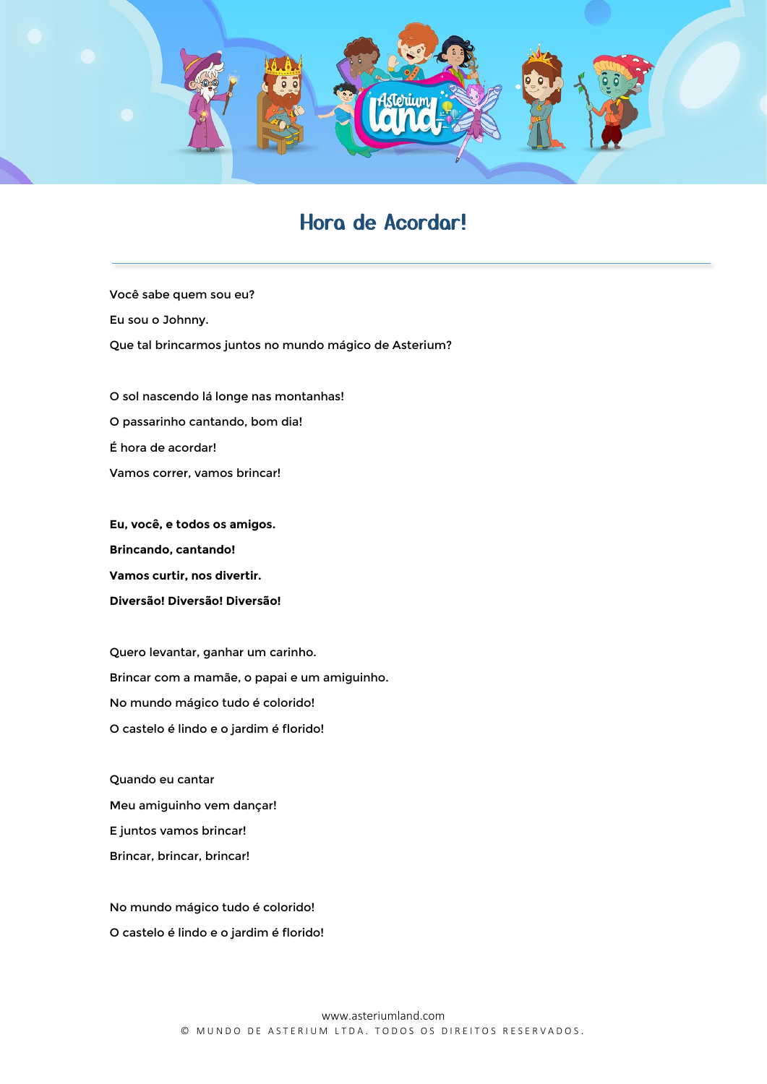

## Hora de Acordar!

Você sabe quem sou eu? Eu sou o Johnny. Que tal brincarmos juntos no mundo mágico de Asterium?

O sol nascendo lá longe nas montanhas! O passarinho cantando, bom dia! É hora de acordar! Vamos correr, vamos brincar!

**Eu, você, e todos os amigos. Brincando, cantando! Vamos curtir, nos divertir. Diversão! Diversão! Diversão!** 

Quero levantar, ganhar um carinho. Brincar com a mamãe, o papai e um amiguinho. No mundo mágico tudo é colorido! O castelo é lindo e o jardim é florido!

Quando eu cantar Meu amiguinho vem dançar! E juntos vamos brincar! Brincar, brincar, brincar!

No mundo mágico tudo é colorido! O castelo é lindo e o jardim é florido!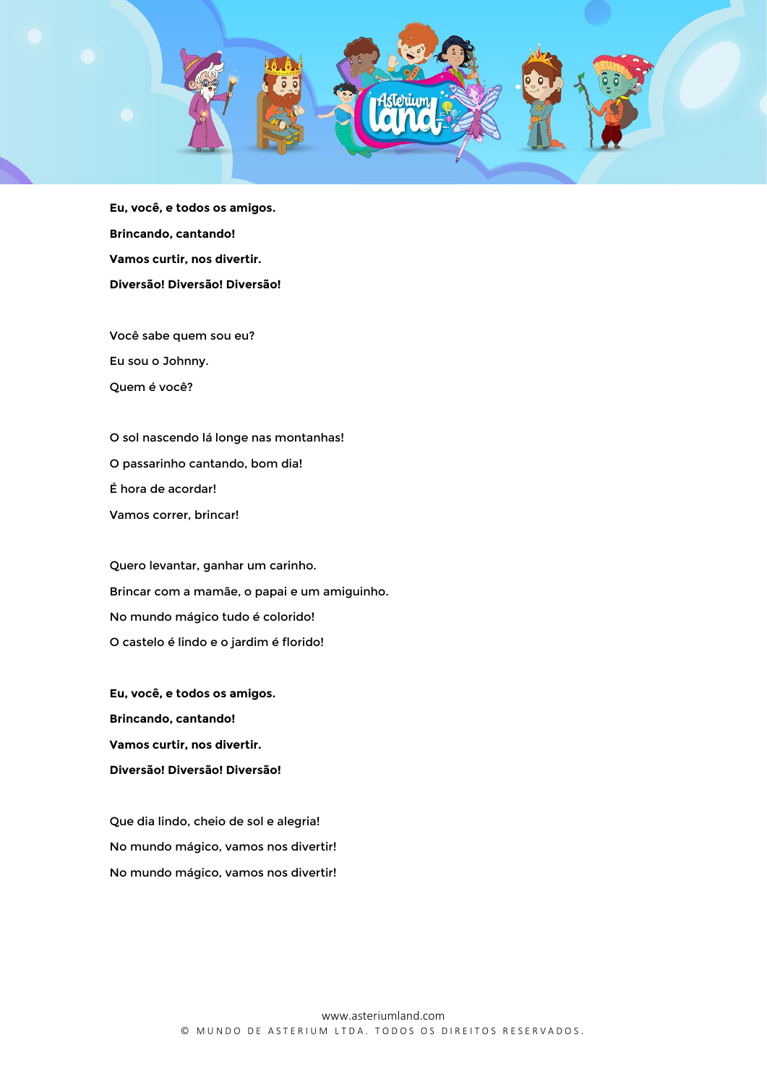

**Eu, você, e todos os amigos. Brincando, cantando! Vamos curtir, nos divertir. Diversão! Diversão! Diversão!**

Você sabe quem sou eu? Eu sou o Johnny. Quem é você?

O sol nascendo lá longe nas montanhas! O passarinho cantando, bom dia! É hora de acordar! Vamos correr, brincar!

Quero levantar, ganhar um carinho. Brincar com a mamãe, o papai e um amiguinho. No mundo mágico tudo é colorido! O castelo é lindo e o jardim é florido!

**Eu, você, e todos os amigos. Brincando, cantando! Vamos curtir, nos divertir. Diversão! Diversão! Diversão!**

Que dia lindo, cheio de sol e alegria! No mundo mágico, vamos nos divertir! No mundo mágico, vamos nos divertir!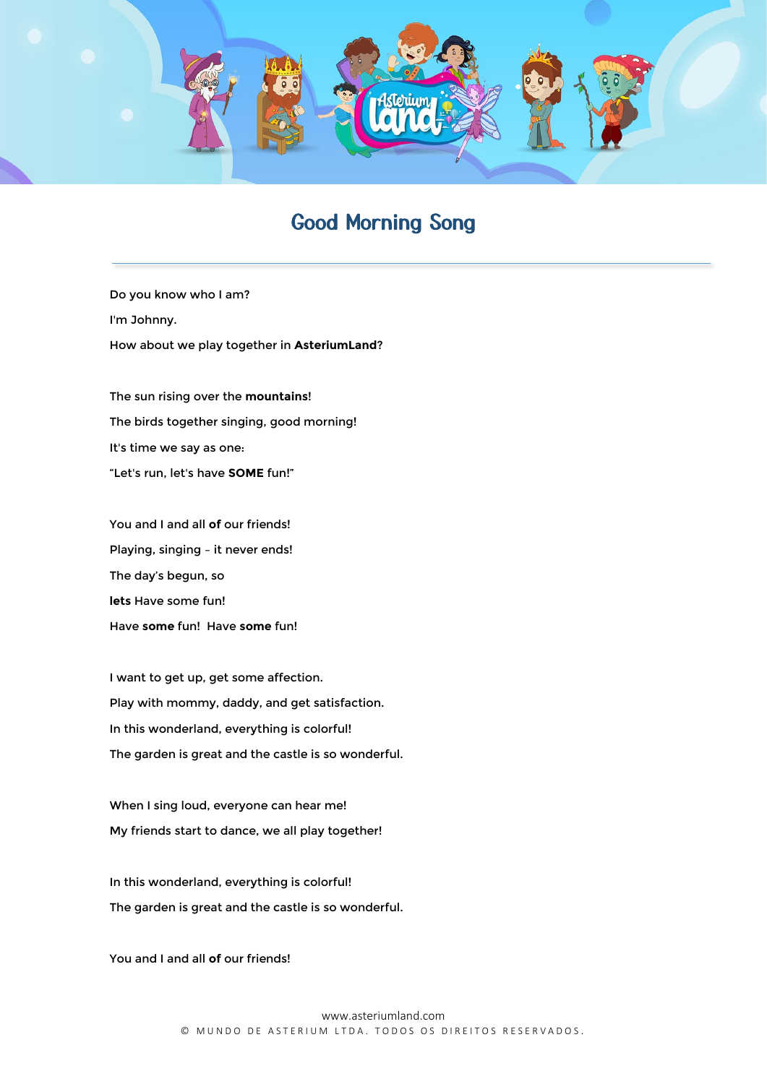

## Good Morning Song

Do you know who I am? I'm Johnny. How about we play together in **AsteriumLand**?

The sun rising over the **mountains**! The birds together singing, good morning! It's time we say as one: "Let's run, let's have **SOME** fun!"

You and I and all **of** our friends! Playing, singing – it never ends! The day's begun, so **lets** Have some fun! Have **some** fun! Have **some** fun!

I want to get up, get some affection. Play with mommy, daddy, and get satisfaction. In this wonderland, everything is colorful! The garden is great and the castle is so wonderful.

When I sing loud, everyone can hear me! My friends start to dance, we all play together!

In this wonderland, everything is colorful! The garden is great and the castle is so wonderful.

You and I and all of our friends!